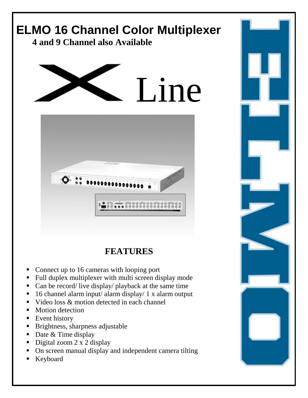

- **EXECUTE:** Brightness, sharpness adjustable
- Date & Time display
- Digital zoom 2 x 2 display
- ! On screen manual display and independent camera tilting
- **Keyboard**